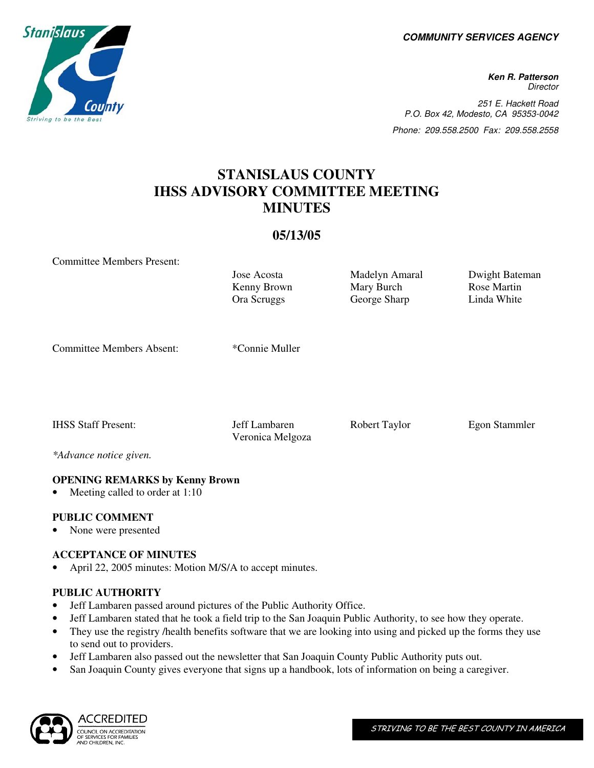**COMMUNITY SERVICES AGENCY** 

**Ken R. Patterson Director** 251 E. Hackett Road P.O. Box 42, Modesto, CA 95353-0042 Phone: 209.558.2500 Fax: 209.558.2558

### **STANISLAUS COUNTY IHSS ADVISORY COMMITTEE MEETING MINUTES**

#### **05/13/05**

Committee Members Present:

Kenny Brown Ora Scruggs

Mary Burch George Sharp

Jose Acosta Madelyn Amaral Dwight Bateman Rose Martin Linda White

Committee Members Absent: \*Connie Muller

IHSS Staff Present: Jeff Lambaren Robert Taylor Egon Stammler Veronica Melgoza

*\*Advance notice given.*

#### **OPENING REMARKS by Kenny Brown**

Meeting called to order at 1:10

#### **PUBLIC COMMENT**

• None were presented

#### **ACCEPTANCE OF MINUTES**

• April 22, 2005 minutes: Motion M/S/A to accept minutes.

#### **PUBLIC AUTHORITY**

- Jeff Lambaren passed around pictures of the Public Authority Office.
- Jeff Lambaren stated that he took a field trip to the San Joaquin Public Authority, to see how they operate.
- They use the registry *health benefits software that we are looking into using and picked up the forms they use* to send out to providers.
- Jeff Lambaren also passed out the newsletter that San Joaquin County Public Authority puts out.
- San Joaquin County gives everyone that signs up a handbook, lots of information on being a caregiver.



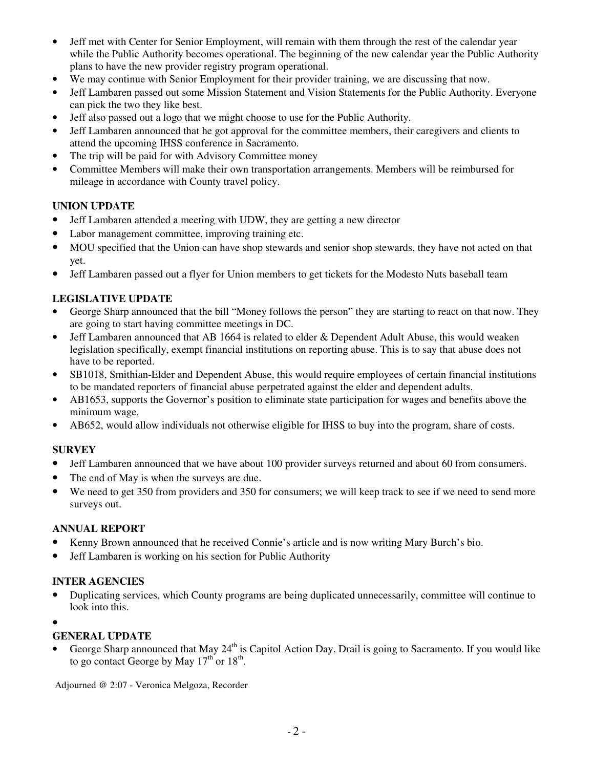- Jeff met with Center for Senior Employment, will remain with them through the rest of the calendar year while the Public Authority becomes operational. The beginning of the new calendar year the Public Authority plans to have the new provider registry program operational.
- We may continue with Senior Employment for their provider training, we are discussing that now.
- Jeff Lambaren passed out some Mission Statement and Vision Statements for the Public Authority. Everyone can pick the two they like best.
- Jeff also passed out a logo that we might choose to use for the Public Authority.
- Jeff Lambaren announced that he got approval for the committee members, their caregivers and clients to attend the upcoming IHSS conference in Sacramento.
- The trip will be paid for with Advisory Committee money
- Committee Members will make their own transportation arrangements. Members will be reimbursed for mileage in accordance with County travel policy.

#### **UNION UPDATE**

- Jeff Lambaren attended a meeting with UDW, they are getting a new director
- Labor management committee, improving training etc.
- MOU specified that the Union can have shop stewards and senior shop stewards, they have not acted on that yet.
- Jeff Lambaren passed out a flyer for Union members to get tickets for the Modesto Nuts baseball team

#### **LEGISLATIVE UPDATE**

- George Sharp announced that the bill "Money follows the person" they are starting to react on that now. They are going to start having committee meetings in DC.
- Jeff Lambaren announced that AB 1664 is related to elder & Dependent Adult Abuse, this would weaken legislation specifically, exempt financial institutions on reporting abuse. This is to say that abuse does not have to be reported.
- SB1018, Smithian-Elder and Dependent Abuse, this would require employees of certain financial institutions to be mandated reporters of financial abuse perpetrated against the elder and dependent adults.
- AB1653, supports the Governor's position to eliminate state participation for wages and benefits above the minimum wage.
- AB652, would allow individuals not otherwise eligible for IHSS to buy into the program, share of costs.

#### **SURVEY**

- Jeff Lambaren announced that we have about 100 provider surveys returned and about 60 from consumers.
- The end of May is when the surveys are due.
- We need to get 350 from providers and 350 for consumers; we will keep track to see if we need to send more surveys out.

#### **ANNUAL REPORT**

- Kenny Brown announced that he received Connie's article and is now writing Mary Burch's bio.
- Jeff Lambaren is working on his section for Public Authority

#### **INTER AGENCIES**

- Duplicating services, which County programs are being duplicated unnecessarily, committee will continue to look into this.
- •

#### **GENERAL UPDATE**

George Sharp announced that May 24<sup>th</sup> is Capitol Action Day. Drail is going to Sacramento. If you would like to go contact George by May  $17<sup>th</sup>$  or  $18<sup>th</sup>$ .

Adjourned @ 2:07 - Veronica Melgoza, Recorder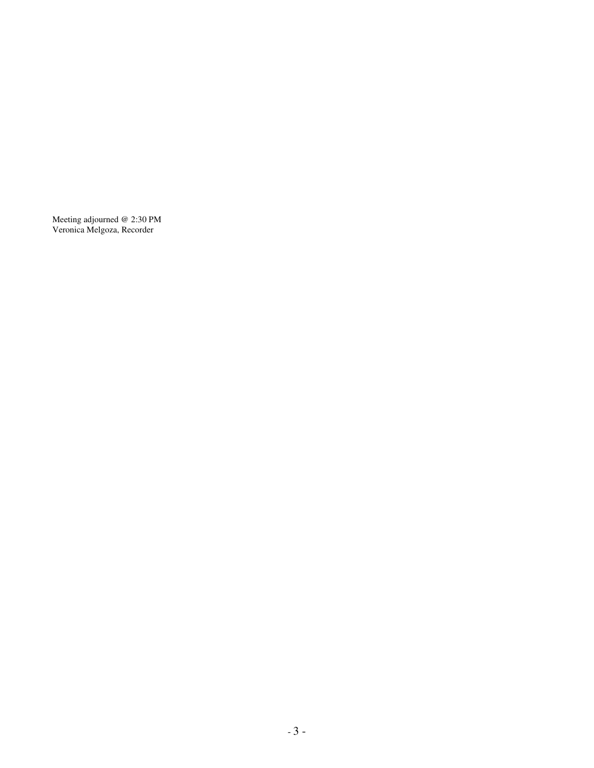Meeting adjourned @ 2:30 PM Veronica Melgoza, Recorder